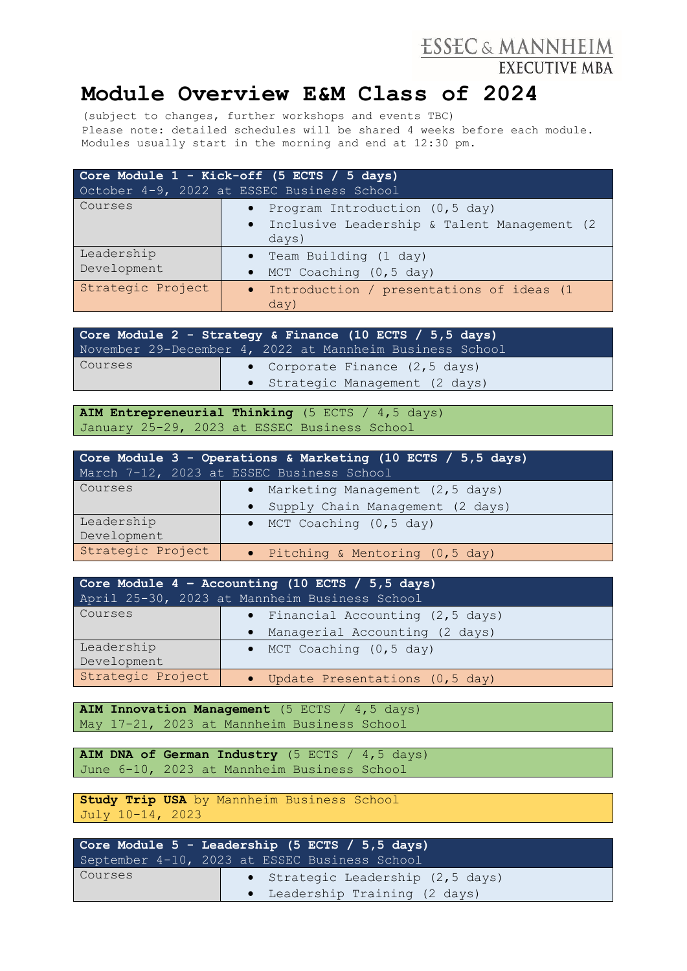## ESSEC & MANNHEIM

## **Module Overview E&M Class of 2024**

(subject to changes, further workshops and events TBC) Please note: detailed schedules will be shared 4 weeks before each module. Modules usually start in the morning and end at 12:30 pm.

| Core Module 1 - Kick-off (5 ECTS / 5 days)<br>October 4-9, 2022 at ESSEC Business School |                                                        |  |
|------------------------------------------------------------------------------------------|--------------------------------------------------------|--|
| Courses                                                                                  | • Program Introduction (0,5 day)                       |  |
|                                                                                          | · Inclusive Leadership & Talent Management (2<br>days) |  |
| Leadership                                                                               | • Team Building (1 day)                                |  |
| Development                                                                              | $\bullet$ MCT Coaching (0,5 day)                       |  |
| Strategic Project                                                                        | · Introduction / presentations of ideas (1<br>day)     |  |

|         | Core Module 2 - Strategy & Finance (10 ECTS / 5,5 days)  |  |
|---------|----------------------------------------------------------|--|
|         | November 29-December 4, 2022 at Mannheim Business School |  |
| Courses | • Corporate Finance (2,5 days)                           |  |
|         | • Strategic Management (2 days)                          |  |

**AIM Entrepreneurial Thinking** (5 ECTS / 4,5 days) January 25-29, 2023 at ESSEC Business School

|                   | Core Module 3 - Operations & Marketing (10 ECTS / 5,5 days)<br>March 7-12, 2023 at ESSEC Business School |
|-------------------|----------------------------------------------------------------------------------------------------------|
| Courses           | Marketing Management (2,5 days)<br>$\bullet$                                                             |
|                   | • Supply Chain Management (2 days)                                                                       |
| Leadership        | $\bullet$ MCT Coaching $(0, 5$ day)                                                                      |
| Development       |                                                                                                          |
| Strategic Project | • Pitching & Mentoring (0,5 day)                                                                         |

| Core Module $4$ - Accounting (10 ECTS / 5,5 days) |                                             |  |
|---------------------------------------------------|---------------------------------------------|--|
| April 25-30, 2023 at Mannheim Business School     |                                             |  |
| Courses                                           | • Financial Accounting (2,5 days)           |  |
|                                                   | Managerial Accounting (2 days)<br>$\bullet$ |  |
| Leadership                                        | $\bullet$ MCT Coaching (0,5 day)            |  |
| Development                                       |                                             |  |
| Strategic Project                                 | • Update Presentations (0,5 day)            |  |

**AIM Innovation Management** (5 ECTS / 4,5 days) May 17-21, 2023 at Mannheim Business School

**AIM DNA of German Industry** (5 ECTS / 4,5 days) June 6-10, 2023 at Mannheim Business School

**Study Trip USA** by Mannheim Business School July 10-14, 2023

|         | Core Module $5$ - Leadership (5 ECTS / $5,5$ days) |
|---------|----------------------------------------------------|
|         | September 4-10, 2023 at ESSEC Business School      |
| Courses | • Strategic Leadership (2,5 days)                  |
|         | • Leadership Training (2 days)                     |